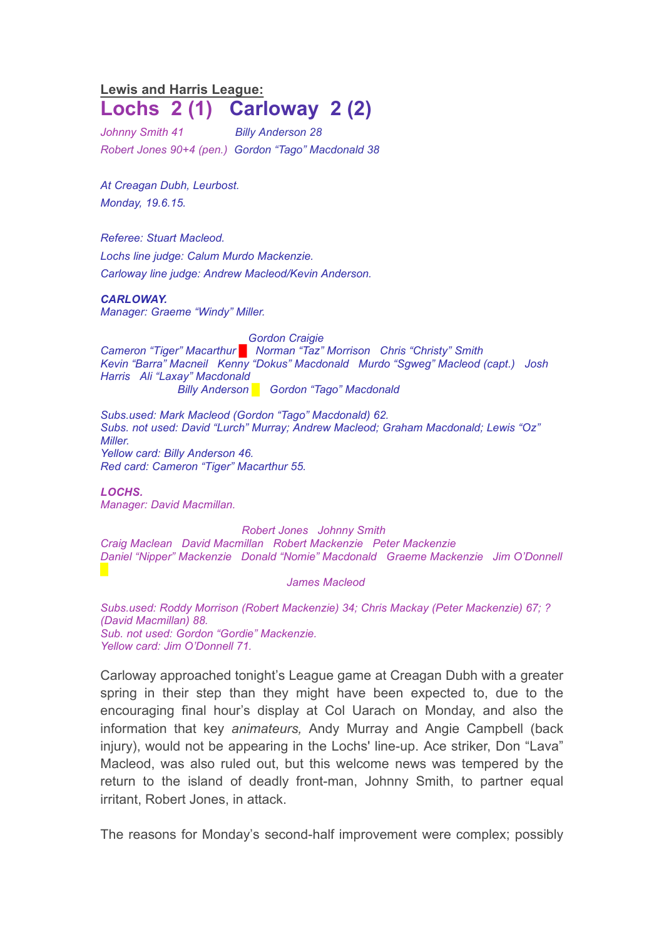## **Lewis and Harris League: Lochs 2 (1) Carloway 2 (2)**

*Johnny Smith 41 Billy Anderson 28 Robert Jones 90+4 (pen.) Gordon "Tago" Macdonald 38*

*At Creagan Dubh, Leurbost. Monday, 19.6.15.*

*Referee: Stuart Macleod. Lochs line judge: Calum Murdo Mackenzie. Carloway line judge: Andrew Macleod/Kevin Anderson.*

## *CARLOWAY.*

*Manager: Graeme "Windy" Miller.*

*Gordon Craigie Cameron "Tiger" Macarthur █ Norman "Taz" Morrison Chris "Christy" Smith Kevin "Barra" Macneil Kenny "Dokus" Macdonald Murdo "Sgweg" Macleod (capt.) Josh Harris Ali "Laxay" Macdonald Billy Anderson █ Gordon "Tago" Macdonald*

*Subs.used: Mark Macleod (Gordon "Tago" Macdonald) 62. Subs. not used: David "Lurch" Murray; Andrew Macleod; Graham Macdonald; Lewis "Oz" Miller. Yellow card: Billy Anderson 46. Red card: Cameron "Tiger" Macarthur 55.*

*LOCHS. Manager: David Macmillan.*

*Robert Jones Johnny Smith Craig Maclean David Macmillan Robert Mackenzie Peter Mackenzie Daniel "Nipper" Mackenzie Donald "Nomie" Macdonald Graeme Mackenzie Jim O'Donnell*

*James Macleod*

*Subs.used: Roddy Morrison (Robert Mackenzie) 34; Chris Mackay (Peter Mackenzie) 67; ? (David Macmillan) 88. Sub. not used: Gordon "Gordie" Mackenzie. Yellow card: Jim O'Donnell 71.*

Carloway approached tonight's League game at Creagan Dubh with a greater spring in their step than they might have been expected to, due to the encouraging final hour's display at Col Uarach on Monday, and also the information that key *animateurs,* Andy Murray and Angie Campbell (back injury), would not be appearing in the Lochs' line-up. Ace striker, Don "Lava" Macleod, was also ruled out, but this welcome news was tempered by the return to the island of deadly front-man, Johnny Smith, to partner equal irritant, Robert Jones, in attack.

The reasons for Monday's second-half improvement were complex; possibly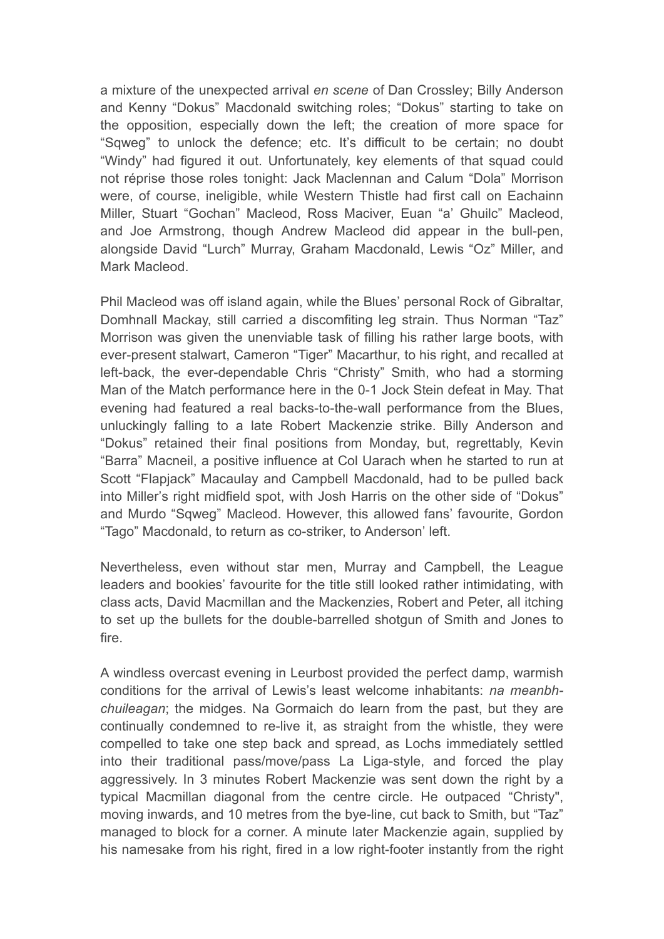a mixture of the unexpected arrival *en scene* of Dan Crossley; Billy Anderson and Kenny "Dokus" Macdonald switching roles; "Dokus" starting to take on the opposition, especially down the left; the creation of more space for "Sqweg" to unlock the defence; etc. It's difficult to be certain; no doubt "Windy" had figured it out. Unfortunately, key elements of that squad could not réprise those roles tonight: Jack Maclennan and Calum "Dola" Morrison were, of course, ineligible, while Western Thistle had first call on Eachainn Miller, Stuart "Gochan" Macleod, Ross Maciver, Euan "a' Ghuilc" Macleod, and Joe Armstrong, though Andrew Macleod did appear in the bull-pen, alongside David "Lurch" Murray, Graham Macdonald, Lewis "Oz" Miller, and Mark Macleod.

Phil Macleod was off island again, while the Blues' personal Rock of Gibraltar, Domhnall Mackay, still carried a discomfiting leg strain. Thus Norman "Taz" Morrison was given the unenviable task of filling his rather large boots, with ever-present stalwart, Cameron "Tiger" Macarthur, to his right, and recalled at left-back, the ever-dependable Chris "Christy" Smith, who had a storming Man of the Match performance here in the 0-1 Jock Stein defeat in May. That evening had featured a real backs-to-the-wall performance from the Blues, unluckingly falling to a late Robert Mackenzie strike. Billy Anderson and "Dokus" retained their final positions from Monday, but, regrettably, Kevin "Barra" Macneil, a positive influence at Col Uarach when he started to run at Scott "Flapjack" Macaulay and Campbell Macdonald, had to be pulled back into Miller's right midfield spot, with Josh Harris on the other side of "Dokus" and Murdo "Sqweg" Macleod. However, this allowed fans' favourite, Gordon "Tago" Macdonald, to return as co-striker, to Anderson' left.

Nevertheless, even without star men, Murray and Campbell, the League leaders and bookies' favourite for the title still looked rather intimidating, with class acts, David Macmillan and the Mackenzies, Robert and Peter, all itching to set up the bullets for the double-barrelled shotgun of Smith and Jones to fire.

A windless overcast evening in Leurbost provided the perfect damp, warmish conditions for the arrival of Lewis's least welcome inhabitants: *na meanbhchuileagan*; the midges. Na Gormaich do learn from the past, but they are continually condemned to re-live it, as straight from the whistle, they were compelled to take one step back and spread, as Lochs immediately settled into their traditional pass/move/pass La Liga-style, and forced the play aggressively. In 3 minutes Robert Mackenzie was sent down the right by a typical Macmillan diagonal from the centre circle. He outpaced "Christy", moving inwards, and 10 metres from the bye-line, cut back to Smith, but "Taz" managed to block for a corner. A minute later Mackenzie again, supplied by his namesake from his right, fired in a low right-footer instantly from the right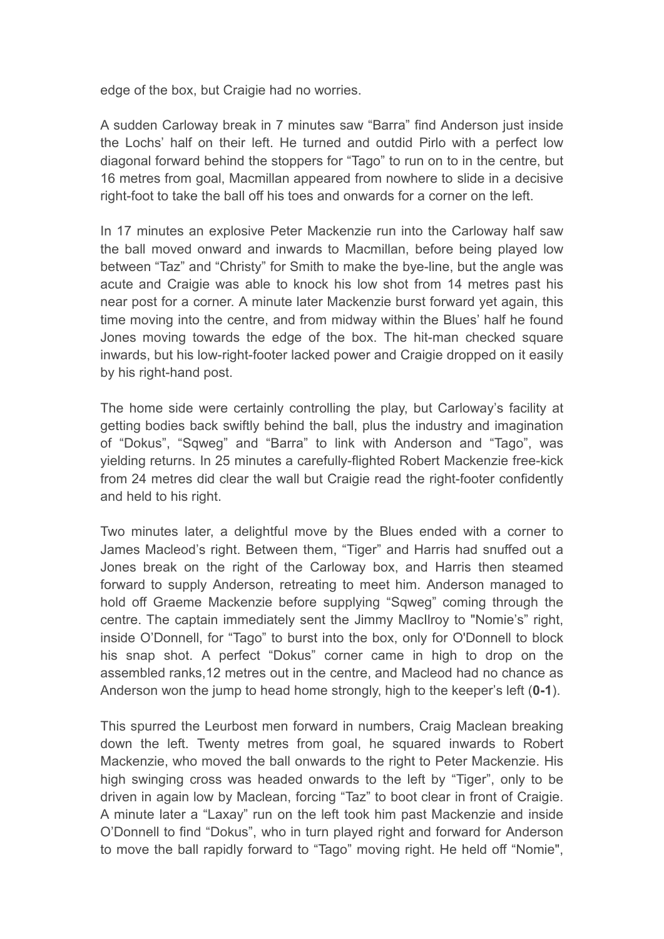edge of the box, but Craigie had no worries.

A sudden Carloway break in 7 minutes saw "Barra" find Anderson just inside the Lochs' half on their left. He turned and outdid Pirlo with a perfect low diagonal forward behind the stoppers for "Tago" to run on to in the centre, but 16 metres from goal, Macmillan appeared from nowhere to slide in a decisive right-foot to take the ball off his toes and onwards for a corner on the left.

In 17 minutes an explosive Peter Mackenzie run into the Carloway half saw the ball moved onward and inwards to Macmillan, before being played low between "Taz" and "Christy" for Smith to make the bye-line, but the angle was acute and Craigie was able to knock his low shot from 14 metres past his near post for a corner. A minute later Mackenzie burst forward yet again, this time moving into the centre, and from midway within the Blues' half he found Jones moving towards the edge of the box. The hit-man checked square inwards, but his low-right-footer lacked power and Craigie dropped on it easily by his right-hand post.

The home side were certainly controlling the play, but Carloway's facility at getting bodies back swiftly behind the ball, plus the industry and imagination of "Dokus", "Sqweg" and "Barra" to link with Anderson and "Tago", was yielding returns. In 25 minutes a carefully-flighted Robert Mackenzie free-kick from 24 metres did clear the wall but Craigie read the right-footer confidently and held to his right.

Two minutes later, a delightful move by the Blues ended with a corner to James Macleod's right. Between them, "Tiger" and Harris had snuffed out a Jones break on the right of the Carloway box, and Harris then steamed forward to supply Anderson, retreating to meet him. Anderson managed to hold off Graeme Mackenzie before supplying "Sqweg" coming through the centre. The captain immediately sent the Jimmy MacIlroy to "Nomie's" right, inside O'Donnell, for "Tago" to burst into the box, only for O'Donnell to block his snap shot. A perfect "Dokus" corner came in high to drop on the assembled ranks,12 metres out in the centre, and Macleod had no chance as Anderson won the jump to head home strongly, high to the keeper's left (**0-1**).

This spurred the Leurbost men forward in numbers, Craig Maclean breaking down the left. Twenty metres from goal, he squared inwards to Robert Mackenzie, who moved the ball onwards to the right to Peter Mackenzie. His high swinging cross was headed onwards to the left by "Tiger", only to be driven in again low by Maclean, forcing "Taz" to boot clear in front of Craigie. A minute later a "Laxay" run on the left took him past Mackenzie and inside O'Donnell to find "Dokus", who in turn played right and forward for Anderson to move the ball rapidly forward to "Tago" moving right. He held off "Nomie",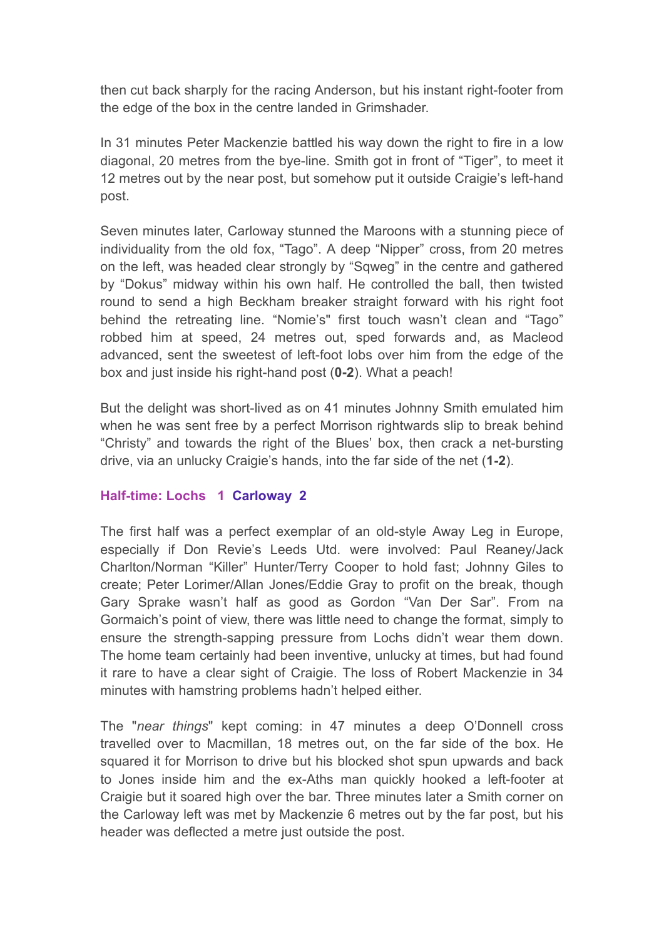then cut back sharply for the racing Anderson, but his instant right-footer from the edge of the box in the centre landed in Grimshader.

In 31 minutes Peter Mackenzie battled his way down the right to fire in a low diagonal, 20 metres from the bye-line. Smith got in front of "Tiger", to meet it 12 metres out by the near post, but somehow put it outside Craigie's left-hand post.

Seven minutes later, Carloway stunned the Maroons with a stunning piece of individuality from the old fox, "Tago". A deep "Nipper" cross, from 20 metres on the left, was headed clear strongly by "Sqweg" in the centre and gathered by "Dokus" midway within his own half. He controlled the ball, then twisted round to send a high Beckham breaker straight forward with his right foot behind the retreating line. "Nomie's" first touch wasn't clean and "Tago" robbed him at speed, 24 metres out, sped forwards and, as Macleod advanced, sent the sweetest of left-foot lobs over him from the edge of the box and just inside his right-hand post (**0-2**). What a peach!

But the delight was short-lived as on 41 minutes Johnny Smith emulated him when he was sent free by a perfect Morrison rightwards slip to break behind "Christy" and towards the right of the Blues' box, then crack a net-bursting drive, via an unlucky Craigie's hands, into the far side of the net (**1-2**).

## **Half-time: Lochs 1 Carloway 2**

The first half was a perfect exemplar of an old-style Away Leg in Europe, especially if Don Revie's Leeds Utd. were involved: Paul Reaney/Jack Charlton/Norman "Killer" Hunter/Terry Cooper to hold fast; Johnny Giles to create; Peter Lorimer/Allan Jones/Eddie Gray to profit on the break, though Gary Sprake wasn't half as good as Gordon "Van Der Sar". From na Gormaich's point of view, there was little need to change the format, simply to ensure the strength-sapping pressure from Lochs didn't wear them down. The home team certainly had been inventive, unlucky at times, but had found it rare to have a clear sight of Craigie. The loss of Robert Mackenzie in 34 minutes with hamstring problems hadn't helped either.

The "*near things*" kept coming: in 47 minutes a deep O'Donnell cross travelled over to Macmillan, 18 metres out, on the far side of the box. He squared it for Morrison to drive but his blocked shot spun upwards and back to Jones inside him and the ex-Aths man quickly hooked a left-footer at Craigie but it soared high over the bar. Three minutes later a Smith corner on the Carloway left was met by Mackenzie 6 metres out by the far post, but his header was deflected a metre just outside the post.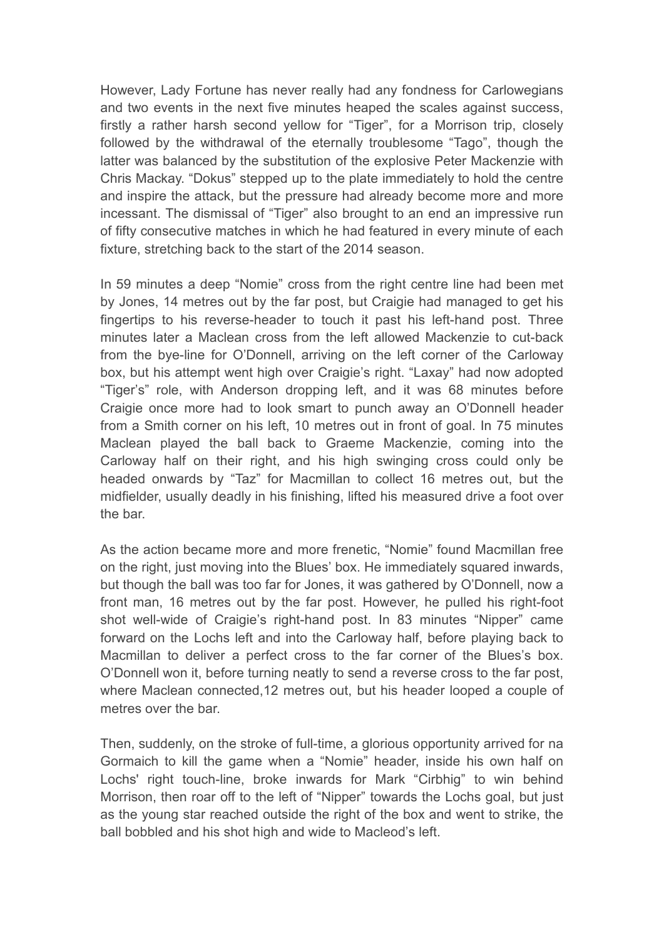However, Lady Fortune has never really had any fondness for Carlowegians and two events in the next five minutes heaped the scales against success, firstly a rather harsh second yellow for "Tiger", for a Morrison trip, closely followed by the withdrawal of the eternally troublesome "Tago", though the latter was balanced by the substitution of the explosive Peter Mackenzie with Chris Mackay. "Dokus" stepped up to the plate immediately to hold the centre and inspire the attack, but the pressure had already become more and more incessant. The dismissal of "Tiger" also brought to an end an impressive run of fifty consecutive matches in which he had featured in every minute of each fixture, stretching back to the start of the 2014 season.

In 59 minutes a deep "Nomie" cross from the right centre line had been met by Jones, 14 metres out by the far post, but Craigie had managed to get his fingertips to his reverse-header to touch it past his left-hand post. Three minutes later a Maclean cross from the left allowed Mackenzie to cut-back from the bye-line for O'Donnell, arriving on the left corner of the Carloway box, but his attempt went high over Craigie's right. "Laxay" had now adopted "Tiger's" role, with Anderson dropping left, and it was 68 minutes before Craigie once more had to look smart to punch away an O'Donnell header from a Smith corner on his left, 10 metres out in front of goal. In 75 minutes Maclean played the ball back to Graeme Mackenzie, coming into the Carloway half on their right, and his high swinging cross could only be headed onwards by "Taz" for Macmillan to collect 16 metres out, but the midfielder, usually deadly in his finishing, lifted his measured drive a foot over the bar.

As the action became more and more frenetic, "Nomie" found Macmillan free on the right, just moving into the Blues' box. He immediately squared inwards, but though the ball was too far for Jones, it was gathered by O'Donnell, now a front man, 16 metres out by the far post. However, he pulled his right-foot shot well-wide of Craigie's right-hand post. In 83 minutes "Nipper" came forward on the Lochs left and into the Carloway half, before playing back to Macmillan to deliver a perfect cross to the far corner of the Blues's box. O'Donnell won it, before turning neatly to send a reverse cross to the far post, where Maclean connected,12 metres out, but his header looped a couple of metres over the bar.

Then, suddenly, on the stroke of full-time, a glorious opportunity arrived for na Gormaich to kill the game when a "Nomie" header, inside his own half on Lochs' right touch-line, broke inwards for Mark "Cirbhig" to win behind Morrison, then roar off to the left of "Nipper" towards the Lochs goal, but just as the young star reached outside the right of the box and went to strike, the ball bobbled and his shot high and wide to Macleod's left.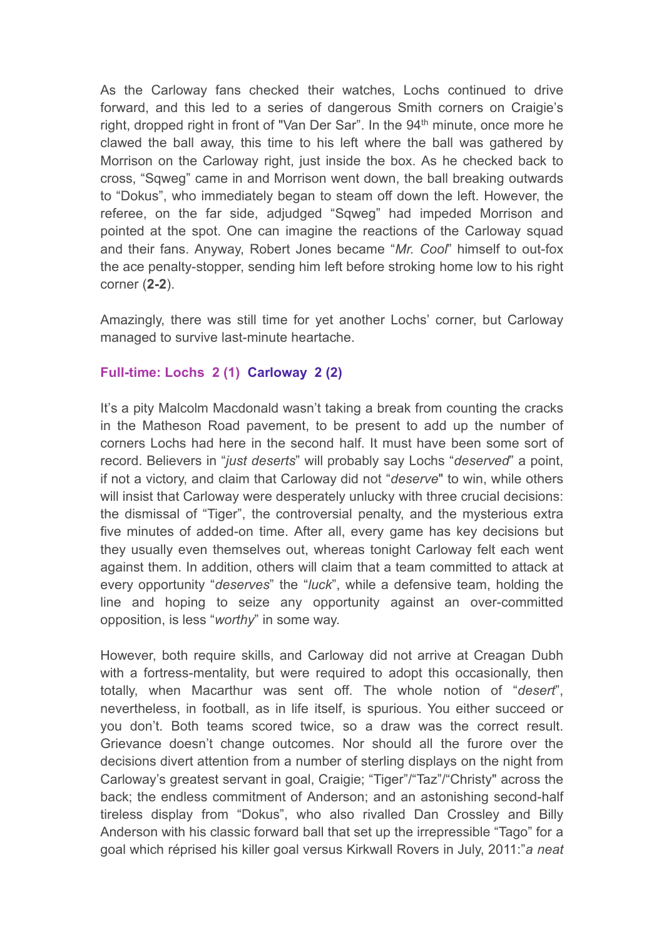As the Carloway fans checked their watches, Lochs continued to drive forward, and this led to a series of dangerous Smith corners on Craigie's right, dropped right in front of "Van Der Sar". In the 94<sup>th</sup> minute, once more he clawed the ball away, this time to his left where the ball was gathered by Morrison on the Carloway right, just inside the box. As he checked back to cross, "Sqweg" came in and Morrison went down, the ball breaking outwards to "Dokus", who immediately began to steam off down the left. However, the referee, on the far side, adjudged "Sqweg" had impeded Morrison and pointed at the spot. One can imagine the reactions of the Carloway squad and their fans. Anyway, Robert Jones became "*Mr. Cool*" himself to out-fox the ace penalty-stopper, sending him left before stroking home low to his right corner (**2-2**).

Amazingly, there was still time for yet another Lochs' corner, but Carloway managed to survive last-minute heartache.

## **Full-time: Lochs 2 (1) Carloway 2 (2)**

It's a pity Malcolm Macdonald wasn't taking a break from counting the cracks in the Matheson Road pavement, to be present to add up the number of corners Lochs had here in the second half. It must have been some sort of record. Believers in "*just deserts*" will probably say Lochs "*deserved*" a point, if not a victory, and claim that Carloway did not "*deserve*" to win, while others will insist that Carloway were desperately unlucky with three crucial decisions: the dismissal of "Tiger", the controversial penalty, and the mysterious extra five minutes of added-on time. After all, every game has key decisions but they usually even themselves out, whereas tonight Carloway felt each went against them. In addition, others will claim that a team committed to attack at every opportunity "*deserves*" the "*luck*", while a defensive team, holding the line and hoping to seize any opportunity against an over-committed opposition, is less "*worthy*" in some way.

However, both require skills, and Carloway did not arrive at Creagan Dubh with a fortress-mentality, but were required to adopt this occasionally, then totally, when Macarthur was sent off. The whole notion of "*desert*", nevertheless, in football, as in life itself, is spurious. You either succeed or you don't. Both teams scored twice, so a draw was the correct result. Grievance doesn't change outcomes. Nor should all the furore over the decisions divert attention from a number of sterling displays on the night from Carloway's greatest servant in goal, Craigie; "Tiger"/"Taz"/"Christy" across the back; the endless commitment of Anderson; and an astonishing second-half tireless display from "Dokus", who also rivalled Dan Crossley and Billy Anderson with his classic forward ball that set up the irrepressible "Tago" for a goal which réprised his killer goal versus Kirkwall Rovers in July, 2011:"*a neat*